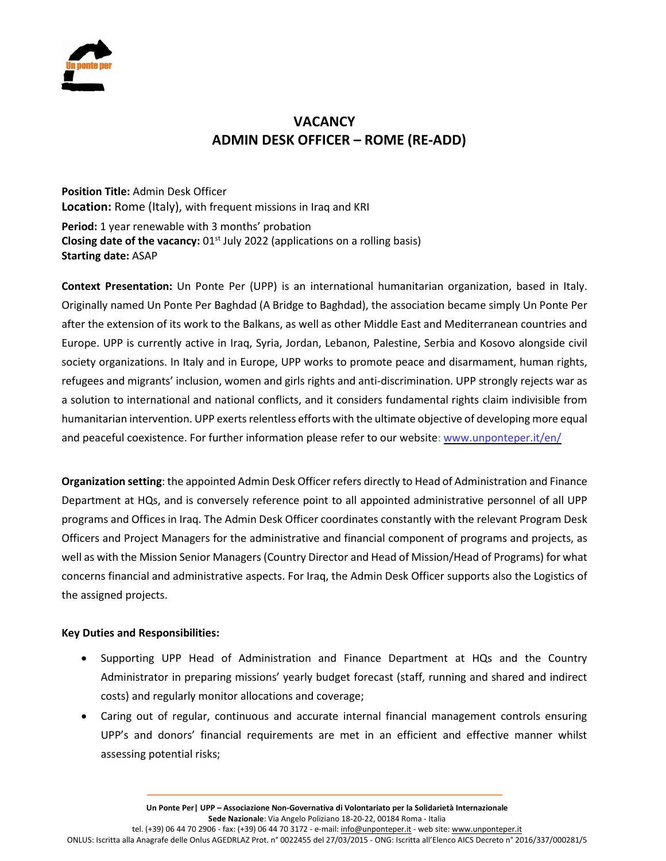

# **VACANCY ADMIN DESK OFFICER – ROME (RE-ADD)**

**Position Title:** Admin Desk Officer **Location:** Rome (Italy), with frequent missions in Iraq and KRI **Period:** 1 year renewable with 3 months' probation **Closing date of the vacancy:** 01<sup>st</sup> July 2022 (applications on a rolling basis) **Starting date:** ASAP

**Context Presentation:** Un Ponte Per (UPP) is an international humanitarian organization, based in Italy. Originally named Un Ponte Per Baghdad (A Bridge to Baghdad), the association became simply Un Ponte Per after the extension of its work to the Balkans, as well as other Middle East and Mediterranean countries and Europe. UPP is currently active in Iraq, Syria, Jordan, Lebanon, Palestine, Serbia and Kosovo alongside civil society organizations. In Italy and in Europe, UPP works to promote peace and disarmament, human rights, refugees and migrants' inclusion, women and girls rights and anti-discrimination. UPP strongly rejects war as a solution to international and national conflicts, and it considers fundamental rights claim indivisible from humanitarian intervention. UPP exerts relentless efforts with the ultimate objective of developing more equal and peaceful coexistence. For further information please refer to our website: [www.unponteper.it/en/](http://www.unponteper.it/en/)

**Organization setting**: the appointed Admin Desk Officer refers directly to Head of Administration and Finance Department at HQs, and is conversely reference point to all appointed administrative personnel of all UPP programs and Offices in Iraq. The Admin Desk Officer coordinates constantly with the relevant Program Desk Officers and Project Managers for the administrative and financial component of programs and projects, as well as with the Mission Senior Managers (Country Director and Head of Mission/Head of Programs) for what concerns financial and administrative aspects. For Iraq, the Admin Desk Officer supports also the Logistics of the assigned projects.

#### **Key Duties and Responsibilities:**

- Supporting UPP Head of Administration and Finance Department at HQs and the Country Administrator in preparing missions' yearly budget forecast (staff, running and shared and indirect costs) and regularly monitor allocations and coverage;
- Caring out of regular, continuous and accurate internal financial management controls ensuring UPP's and donors' financial requirements are met in an efficient and effective manner whilst assessing potential risks;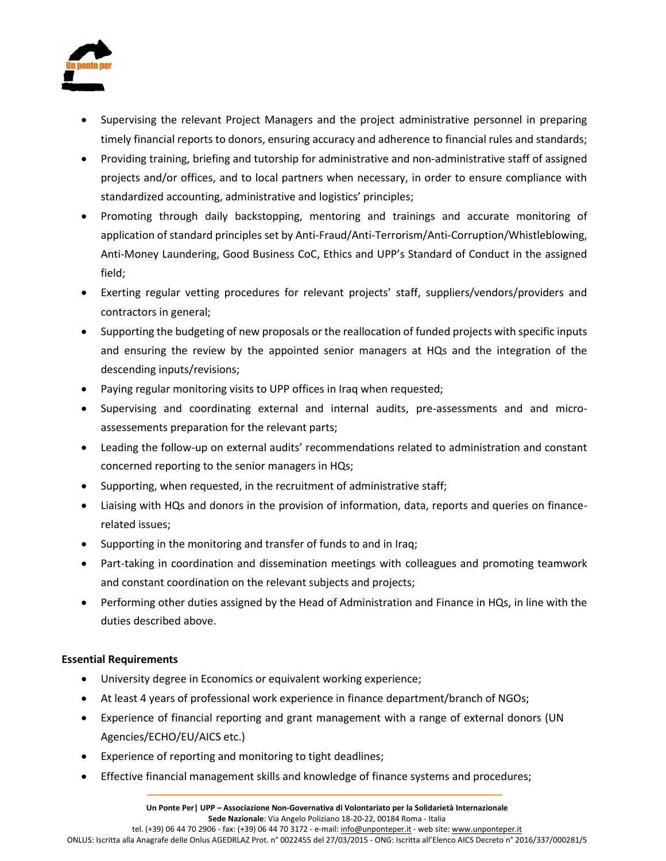

- Supervising the relevant Project Managers and the project administrative personnel in preparing timely financial reports to donors, ensuring accuracy and adherence to financial rules and standards;
- Providing training, briefing and tutorship for administrative and non-administrative staff of assigned projects and/or offices, and to local partners when necessary, in order to ensure compliance with standardized accounting, administrative and logistics' principles;
- Promoting through daily backstopping, mentoring and trainings and accurate monitoring of application of standard principles set by Anti-Fraud/Anti-Terrorism/Anti-Corruption/Whistleblowing, Anti-Money Laundering, Good Business CoC, Ethics and UPP's Standard of Conduct in the assigned field;
- Exerting regular vetting procedures for relevant projects' staff, suppliers/vendors/providers and contractors in general;
- Supporting the budgeting of new proposals or the reallocation of funded projects with specific inputs and ensuring the review by the appointed senior managers at HQs and the integration of the descending inputs/revisions;
- Paying regular monitoring visits to UPP offices in Iraq when requested;
- Supervising and coordinating external and internal audits, pre-assessments and and microassessements preparation for the relevant parts;
- Leading the follow-up on external audits' recommendations related to administration and constant concerned reporting to the senior managers in HQs;
- Supporting, when requested, in the recruitment of administrative staff;
- Liaising with HQs and donors in the provision of information, data, reports and queries on financerelated issues;
- Supporting in the monitoring and transfer of funds to and in Iraq;
- Part-taking in coordination and dissemination meetings with colleagues and promoting teamwork and constant coordination on the relevant subjects and projects;
- Performing other duties assigned by the Head of Administration and Finance in HQs, in line with the duties described above.

## **Essential Requirements**

- University degree in Economics or equivalent working experience;
- At least 4 years of professional work experience in finance department/branch of NGOs;
- Experience of financial reporting and grant management with a range of external donors (UN Agencies/ECHO/EU/AICS etc.)
- Experience of reporting and monitoring to tight deadlines;
- Effective financial management skills and knowledge of finance systems and procedures;